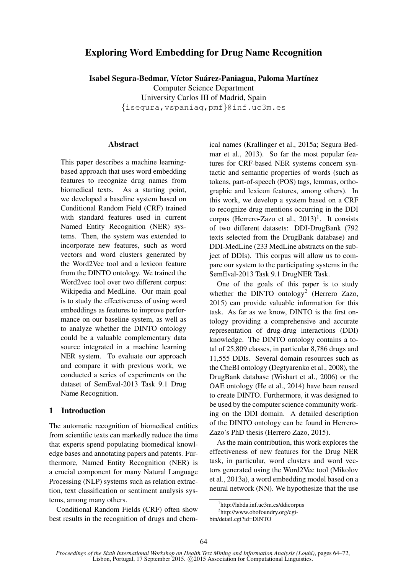# Exploring Word Embedding for Drug Name Recognition

Isabel Segura-Bedmar, Víctor Suárez-Paniagua, Paloma Martínez Computer Science Department University Carlos III of Madrid, Spain {isegura,vspaniag,pmf}@inf.uc3m.es

#### **Abstract**

This paper describes a machine learningbased approach that uses word embedding features to recognize drug names from biomedical texts. As a starting point, we developed a baseline system based on Conditional Random Field (CRF) trained with standard features used in current Named Entity Recognition (NER) systems. Then, the system was extended to incorporate new features, such as word vectors and word clusters generated by the Word2Vec tool and a lexicon feature from the DINTO ontology. We trained the Word2vec tool over two different corpus: Wikipedia and MedLine. Our main goal is to study the effectiveness of using word embeddings as features to improve performance on our baseline system, as well as to analyze whether the DINTO ontology could be a valuable complementary data source integrated in a machine learning NER system. To evaluate our approach and compare it with previous work, we conducted a series of experiments on the dataset of SemEval-2013 Task 9.1 Drug Name Recognition.

## 1 Introduction

The automatic recognition of biomedical entities from scientific texts can markedly reduce the time that experts spend populating biomedical knowledge bases and annotating papers and patents. Furthermore, Named Entity Recognition (NER) is a crucial component for many Natural Language Processing (NLP) systems such as relation extraction, text classification or sentiment analysis systems, among many others.

Conditional Random Fields (CRF) often show best results in the recognition of drugs and chem-

ical names (Krallinger et al., 2015a; Segura Bedmar et al., 2013). So far the most popular features for CRF-based NER systems concern syntactic and semantic properties of words (such as tokens, part-of-speech (POS) tags, lemmas, orthographic and lexicon features, among others). In this work, we develop a system based on a CRF to recognize drug mentions occurring in the DDI corpus (Herrero-Zazo et al.,  $2013$ )<sup>1</sup>. It consists of two different datasets: DDI-DrugBank (792 texts selected from the DrugBank database) and DDI-MedLine (233 MedLine abstracts on the subject of DDIs). This corpus will allow us to compare our system to the participating systems in the SemEval-2013 Task 9.1 DrugNER Task.

One of the goals of this paper is to study whether the DINTO ontology<sup>2</sup> (Herrero Zazo, 2015) can provide valuable information for this task. As far as we know, DINTO is the first ontology providing a comprehensive and accurate representation of drug-drug interactions (DDI) knowledge. The DINTO ontology contains a total of 25,809 classes, in particular 8,786 drugs and 11,555 DDIs. Several domain resources such as the CheBI ontology (Degtyarenko et al., 2008), the DrugBank database (Wishart et al., 2006) or the OAE ontology (He et al., 2014) have been reused to create DINTO. Furthermore, it was designed to be used by the computer science community working on the DDI domain. A detailed description of the DINTO ontology can be found in Herrero-Zazo's PhD thesis (Herrero Zazo, 2015).

As the main contribution, this work explores the effectiveness of new features for the Drug NER task, in particular, word clusters and word vectors generated using the Word2Vec tool (Mikolov et al., 2013a), a word embedding model based on a neural network (NN). We hypothesize that the use

<sup>1</sup> http://labda.inf.uc3m.es/ddicorpus

<sup>2</sup> http://www.obofoundry.org/cgi-

bin/detail.cgi?id=DINTO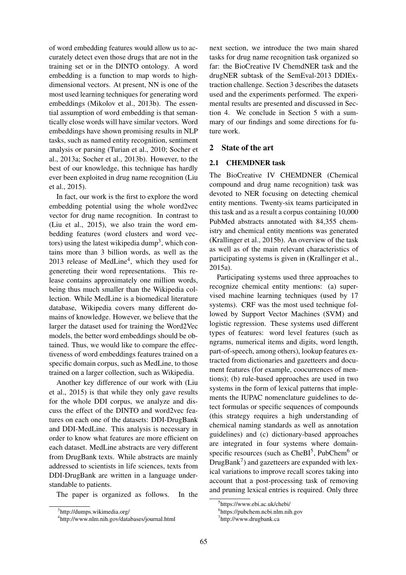of word embedding features would allow us to accurately detect even those drugs that are not in the training set or in the DINTO ontology. A word embedding is a function to map words to highdimensional vectors. At present, NN is one of the most used learning techniques for generating word embeddings (Mikolov et al., 2013b). The essential assumption of word embedding is that semantically close words will have similar vectors. Word embeddings have shown promising results in NLP tasks, such as named entity recognition, sentiment analysis or parsing (Turian et al., 2010; Socher et al., 2013a; Socher et al., 2013b). However, to the best of our knowledge, this technique has hardly ever been exploited in drug name recognition (Liu et al., 2015).

In fact, our work is the first to explore the word embedding potential using the whole word2vec vector for drug name recognition. In contrast to (Liu et al., 2015), we also train the word embedding features (word clusters and word vectors) using the latest wikipedia dump<sup>3</sup>, which contains more than 3 billion words, as well as the 2013 release of MedLine<sup>4</sup>, which they used for genereting their word representations. This release contains approximately one million words, being thus much smaller than the Wikipedia collection. While MedLine is a biomedical literature database, Wikipedia covers many different domains of knowledge. However, we believe that the larger the dataset used for training the Word2Vec models, the better word embeddings should be obtained. Thus, we would like to compare the effectiveness of word embeddings features trained on a specific domain corpus, such as MedLine, to those trained on a larger collection, such as Wikipedia.

Another key difference of our work with (Liu et al., 2015) is that while they only gave results for the whole DDI corpus, we analyze and discuss the effect of the DINTO and word2vec features on each one of the datasets: DDI-DrugBank and DDI-MedLine. This analysis is necessary in order to know what features are more efficient on each dataset. MedLine abstracts are very different from DrugBank texts. While abstracts are mainly addressed to scientists in life sciences, texts from DDI-DrugBank are written in a language understandable to patients.

The paper is organized as follows. In the

next section, we introduce the two main shared tasks for drug name recognition task organized so far: the BioCreative IV ChemdNER task and the drugNER subtask of the SemEval-2013 DDIExtraction challenge. Section 3 describes the datasets used and the experiments performed. The experimental results are presented and discussed in Section 4. We conclude in Section 5 with a summary of our findings and some directions for future work.

# 2 State of the art

## 2.1 CHEMDNER task

The BioCreative IV CHEMDNER (Chemical compound and drug name recognition) task was devoted to NER focusing on detecting chemical entity mentions. Twenty-six teams participated in this task and as a result a corpus containing 10,000 PubMed abstracts annotated with 84,355 chemistry and chemical entity mentions was generated (Krallinger et al., 2015b). An overview of the task as well as of the main relevant characteristics of participating systems is given in (Krallinger et al., 2015a).

Participating systems used three approaches to recognize chemical entity mentions: (a) supervised machine learning techniques (used by 17 systems). CRF was the most used technique followed by Support Vector Machines (SVM) and logistic regression. These systems used different types of features: word level features (such as ngrams, numerical items and digits, word length, part-of-speech, among others), lookup features extracted from dictionaries and gazetteers and document features (for example, coocurrences of mentions); (b) rule-based approaches are used in two systems in the form of lexical patterns that implements the IUPAC nomenclature guidelines to detect formulas or specific sequences of compounds (this strategy requires a high understanding of chemical naming standards as well as annotation guidelines) and (c) dictionary-based approaches are integrated in four systems where domainspecific resources (such as  $CheBI<sup>5</sup>$ , PubChem<sup>6</sup> or DrugBank $^7$ ) and gazetteers are expanded with lexical variations to improve recall scores taking into account that a post-processing task of removing and pruning lexical entries is required. Only three

<sup>3</sup> http://dumps.wikimedia.org/

<sup>4</sup> http://www.nlm.nih.gov/databases/journal.html

<sup>5</sup> https://www.ebi.ac.uk/chebi/

<sup>6</sup> https://pubchem.ncbi.nlm.nih.gov

<sup>7</sup> http://www.drugbank.ca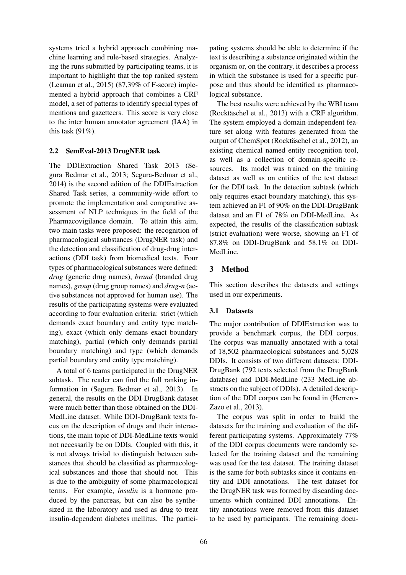systems tried a hybrid approach combining machine learning and rule-based strategies. Analyzing the runs submitted by participating teams, it is important to highlight that the top ranked system (Leaman et al., 2015) (87,39% of F-score) implemented a hybrid approach that combines a CRF model, a set of patterns to identify special types of mentions and gazetteers. This score is very close to the inter human annotator agreement (IAA) in this task  $(91\%)$ .

### 2.2 SemEval-2013 DrugNER task

The DDIExtraction Shared Task 2013 (Segura Bedmar et al., 2013; Segura-Bedmar et al., 2014) is the second edition of the DDIExtraction Shared Task series, a community-wide effort to promote the implementation and comparative assessment of NLP techniques in the field of the Pharmacovigilance domain. To attain this aim, two main tasks were proposed: the recognition of pharmacological substances (DrugNER task) and the detection and classification of drug-drug interactions (DDI task) from biomedical texts. Four types of pharmacological substances were defined: *drug* (generic drug names), *brand* (branded drug names), *group* (drug group names) and *drug-n* (active substances not approved for human use). The results of the participating systems were evaluated according to four evaluation criteria: strict (which demands exact boundary and entity type matching), exact (which only demans exact boundary matching), partial (which only demands partial boundary matching) and type (which demands partial boundary and entity type matching).

A total of 6 teams participated in the DrugNER subtask. The reader can find the full ranking information in (Segura Bedmar et al., 2013). In general, the results on the DDI-DrugBank dataset were much better than those obtained on the DDI-MedLine dataset. While DDI-DrugBank texts focus on the description of drugs and their interactions, the main topic of DDI-MedLine texts would not necessarily be on DDIs. Coupled with this, it is not always trivial to distinguish between substances that should be classified as pharmacological substances and those that should not. This is due to the ambiguity of some pharmacological terms. For example, *insulin* is a hormone produced by the pancreas, but can also be synthesized in the laboratory and used as drug to treat insulin-dependent diabetes mellitus. The participating systems should be able to determine if the text is describing a substance originated within the organism or, on the contrary, it describes a process in which the substance is used for a specific purpose and thus should be identified as pharmacological substance.

The best results were achieved by the WBI team  $(Rocktäschel et al., 2013)$  with a CRF algorithm. The system employed a domain-independent feature set along with features generated from the output of ChemSpot (Rocktäschel et al., 2012), an existing chemical named entity recognition tool, as well as a collection of domain-specific resources. Its model was trained on the training dataset as well as on entities of the test dataset for the DDI task. In the detection subtask (which only requires exact boundary matching), this system achieved an F1 of 90% on the DDI-DrugBank dataset and an F1 of 78% on DDI-MedLine. As expected, the results of the classification subtask (strict evaluation) were worse, showing an F1 of 87.8% on DDI-DrugBank and 58.1% on DDI-MedLine.

## 3 Method

This section describes the datasets and settings used in our experiments.

## 3.1 Datasets

The major contribution of DDIExtraction was to provide a benchmark corpus, the DDI corpus. The corpus was manually annotated with a total of 18,502 pharmacological substances and 5,028 DDIs. It consists of two different datasets: DDI-DrugBank (792 texts selected from the DrugBank database) and DDI-MedLine (233 MedLine abstracts on the subject of DDIs). A detailed description of the DDI corpus can be found in (Herrero-Zazo et al., 2013).

The corpus was split in order to build the datasets for the training and evaluation of the different participating systems. Approximately 77% of the DDI corpus documents were randomly selected for the training dataset and the remaining was used for the test dataset. The training dataset is the same for both subtasks since it contains entity and DDI annotations. The test dataset for the DrugNER task was formed by discarding documents which contained DDI annotations. Entity annotations were removed from this dataset to be used by participants. The remaining docu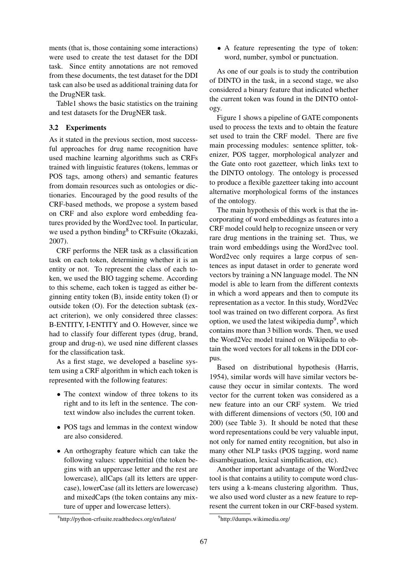ments (that is, those containing some interactions) were used to create the test dataset for the DDI task. Since entity annotations are not removed from these documents, the test dataset for the DDI task can also be used as additional training data for the DrugNER task.

Table1 shows the basic statistics on the training and test datasets for the DrugNER task.

### 3.2 Experiments

As it stated in the previous section, most successful approaches for drug name recognition have used machine learning algorithms such as CRFs trained with linguistic features (tokens, lemmas or POS tags, among others) and semantic features from domain resources such as ontologies or dictionaries. Encouraged by the good results of the CRF-based methods, we propose a system based on CRF and also explore word embedding features provided by the Word2vec tool. In particular, we used a python binding<sup>8</sup> to CRFsuite (Okazaki, 2007).

CRF performs the NER task as a classification task on each token, determining whether it is an entity or not. To represent the class of each token, we used the BIO tagging scheme. According to this scheme, each token is tagged as either beginning entity token (B), inside entity token (I) or outside token (O). For the detection subtask (exact criterion), we only considered three classes: B-ENTITY, I-ENTITY and O. However, since we had to classify four different types (drug, brand, group and drug-n), we used nine different classes for the classification task.

As a first stage, we developed a baseline system using a CRF algorithm in which each token is represented with the following features:

- The context window of three tokens to its right and to its left in the sentence. The context window also includes the current token.
- POS tags and lemmas in the context window are also considered.
- An orthography feature which can take the following values: upperInitial (the token begins with an uppercase letter and the rest are lowercase), allCaps (all its letters are uppercase), lowerCase (all its letters are lowercase) and mixedCaps (the token contains any mixture of upper and lowercase letters).
- 8 http://python-crfsuite.readthedocs.org/en/latest/

• A feature representing the type of token: word, number, symbol or punctuation.

As one of our goals is to study the contribution of DINTO in the task, in a second stage, we also considered a binary feature that indicated whether the current token was found in the DINTO ontology.

Figure 1 shows a pipeline of GATE components used to process the texts and to obtain the feature set used to train the CRF model. There are five main processing modules: sentence splitter, tokenizer, POS tagger, morphological analyzer and the Gate onto root gazetteer, which links text to the DINTO ontology. The ontology is processed to produce a flexible gazetteer taking into account alternative morphological forms of the instances of the ontology.

The main hypothesis of this work is that the incorporating of word embeddings as features into a CRF model could help to recognize unseen or very rare drug mentions in the training set. Thus, we train word embeddings using the Word2vec tool. Word2vec only requires a large corpus of sentences as input dataset in order to generate word vectors by training a NN language model. The NN model is able to learn from the different contexts in which a word appears and then to compute its representation as a vector. In this study, Word2Vec tool was trained on two different corpora. As first option, we used the latest wikipedia dump<sup>9</sup>, which contains more than 3 billion words. Then, we used the Word2Vec model trained on Wikipedia to obtain the word vectors for all tokens in the DDI corpus.

Based on distributional hypothesis (Harris, 1954), similar words will have similar vectors because they occur in similar contexts. The word vector for the current token was considered as a new feature into an our CRF system. We tried with different dimensions of vectors (50, 100 and 200) (see Table 3). It should be noted that these word representations could be very valuable input, not only for named entity recognition, but also in many other NLP tasks (POS tagging, word name disambiguation, lexical simplification, etc).

Another important advantage of the Word2vec tool is that contains a utility to compute word clusters using a k-means clustering algorithm. Thus, we also used word cluster as a new feature to represent the current token in our CRF-based system.

<sup>9</sup> http://dumps.wikimedia.org/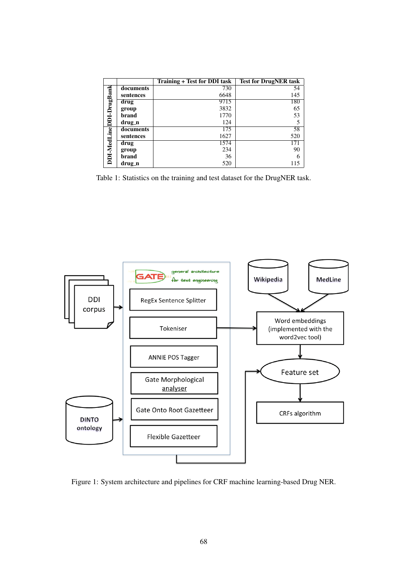|                         |           | <b>Training + Test for DDI task</b> | <b>Test for DrugNER task</b> |
|-------------------------|-----------|-------------------------------------|------------------------------|
| DDI-MedLineDDI-DrugBank | documents | 730                                 | 54                           |
|                         | sentences | 6648                                | 145                          |
|                         | drug      | 9715                                | 180                          |
|                         | group     | 3832                                | 65                           |
|                         | brand     | 1770                                | 53                           |
|                         | drug_n    | 124                                 |                              |
|                         | documents | 175                                 | 58                           |
|                         | sentences | 1627                                | 520                          |
|                         | drug      | 1574                                | 171                          |
|                         | group     | 234                                 | 90                           |
|                         | brand     | 36                                  |                              |
|                         | drug_n    | 520                                 |                              |

Table 1: Statistics on the training and test dataset for the DrugNER task.



Figure 1: System architecture and pipelines for CRF machine learning-based Drug NER.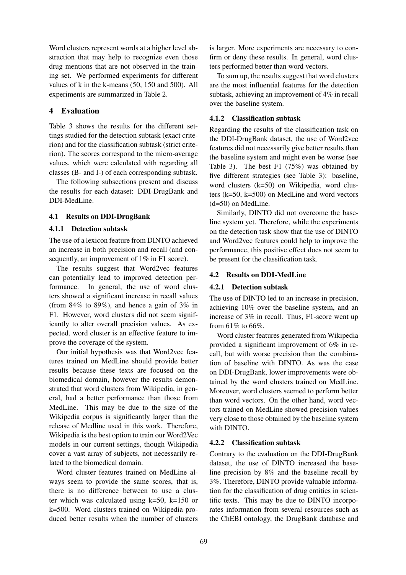Word clusters represent words at a higher level abstraction that may help to recognize even those drug mentions that are not observed in the training set. We performed experiments for different values of k in the k-means (50, 150 and 500). All experiments are summarized in Table 2.

### 4 Evaluation

Table 3 shows the results for the different settings studied for the detection subtask (exact criterion) and for the classification subtask (strict criterion). The scores correspond to the micro-average values, which were calculated with regarding all classes (B- and I-) of each corresponding subtask.

The following subsections present and discuss the results for each dataset: DDI-DrugBank and DDI-MedLine.

#### 4.1 Results on DDI-DrugBank

#### 4.1.1 Detection subtask

The use of a lexicon feature from DINTO achieved an increase in both precision and recall (and consequently, an improvement of 1% in F1 score).

The results suggest that Word2vec features can potentially lead to improved detection performance. In general, the use of word clusters showed a significant increase in recall values (from  $84\%$  to  $89\%$ ), and hence a gain of  $3\%$  in F1. However, word clusters did not seem significantly to alter overall precision values. As expected, word cluster is an effective feature to improve the coverage of the system.

Our initial hypothesis was that Word2vec features trained on MedLine should provide better results because these texts are focused on the biomedical domain, however the results demonstrated that word clusters from Wikipedia, in general, had a better performance than those from MedLine. This may be due to the size of the Wikipedia corpus is significantly larger than the release of Medline used in this work. Therefore, Wikipedia is the best option to train our Word2Vec models in our current settings, though Wikipedia cover a vast array of subjects, not necessarily related to the biomedical domain.

Word cluster features trained on MedLine always seem to provide the same scores, that is, there is no difference between to use a cluster which was calculated using  $k=50$ ,  $k=150$  or k=500. Word clusters trained on Wikipedia produced better results when the number of clusters

is larger. More experiments are necessary to confirm or deny these results. In general, word clusters performed better than word vectors.

To sum up, the results suggest that word clusters are the most influential features for the detection subtask, achieving an improvement of 4% in recall over the baseline system.

#### 4.1.2 Classification subtask

Regarding the results of the classification task on the DDI-DrugBank dataset, the use of Word2vec features did not necessarily give better results than the baseline system and might even be worse (see Table 3). The best F1 (75%) was obtained by five different strategies (see Table 3): baseline, word clusters (k=50) on Wikipedia, word clusters (k=50, k=500) on MedLine and word vectors (d=50) on MedLine.

Similarly, DINTO did not overcome the baseline system yet. Therefore, while the experiments on the detection task show that the use of DINTO and Word2vec features could help to improve the performance, this positive effect does not seem to be present for the classification task.

#### 4.2 Results on DDI-MedLine

#### 4.2.1 Detection subtask

The use of DINTO led to an increase in precision, achieving 10% over the baseline system, and an increase of 3% in recall. Thus, F1-score went up from  $61\%$  to  $66\%$ .

Word cluster features generated from Wikipedia provided a significant improvement of 6% in recall, but with worse precision than the combination of baseline with DINTO. As was the case on DDI-DrugBank, lower improvements were obtained by the word clusters trained on MedLine. Moreover, word clusters seemed to perform better than word vectors. On the other hand, word vectors trained on MedLine showed precision values very close to those obtained by the baseline system with DINTO.

#### 4.2.2 Classification subtask

Contrary to the evaluation on the DDI-DrugBank dataset, the use of DINTO increased the baseline precision by 8% and the baseline recall by 3%. Therefore, DINTO provide valuable information for the classification of drug entities in scientific texts. This may be due to DINTO incorporates information from several resources such as the ChEBI ontology, the DrugBank database and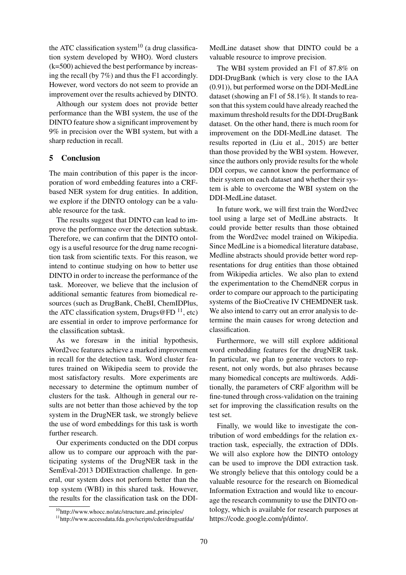the ATC classification system<sup>10</sup> (a drug classification system developed by WHO). Word clusters (k=500) achieved the best performance by increasing the recall (by 7%) and thus the F1 accordingly. However, word vectors do not seem to provide an improvement over the results achieved by DINTO.

Although our system does not provide better performance than the WBI system, the use of the DINTO feature show a significant improvement by 9% in precision over the WBI system, but with a sharp reduction in recall.

#### 5 Conclusion

The main contribution of this paper is the incorporation of word embedding features into a CRFbased NER system for drug entities. In addition, we explore if the DINTO ontology can be a valuable resource for the task.

The results suggest that DINTO can lead to improve the performance over the detection subtask. Therefore, we can confirm that the DINTO ontology is a useful resource for the drug name recognition task from scientific texts. For this reason, we intend to continue studying on how to better use DINTO in order to increase the performance of the task. Moreover, we believe that the inclusion of additional semantic features from biomedical resources (such as DrugBank, CheBI, ChemIDPlus, the ATC classification system, Drugs@FD  $^{11}$ , etc) are essential in order to improve performance for the classification subtask.

As we foresaw in the initial hypothesis, Word2vec features achieve a marked improvement in recall for the detection task. Word cluster features trained on Wikipedia seem to provide the most satisfactory results. More experiments are necessary to determine the optimum number of clusters for the task. Although in general our results are not better than those achieved by the top system in the DrugNER task, we strongly believe the use of word embeddings for this task is worth further research.

Our experiments conducted on the DDI corpus allow us to compare our approach with the participating systems of the DrugNER task in the SemEval-2013 DDIExtraction challenge. In general, our system does not perform better than the top system (WBI) in this shared task. However, the results for the classification task on the DDI-

MedLine dataset show that DINTO could be a valuable resource to improve precision.

The WBI system provided an F1 of 87.8% on DDI-DrugBank (which is very close to the IAA (0.91)), but performed worse on the DDI-MedLine dataset (showing an F1 of 58.1%). It stands to reason that this system could have already reached the maximum threshold results for the DDI-DrugBank dataset. On the other hand, there is much room for improvement on the DDI-MedLine dataset. The results reported in (Liu et al., 2015) are better than those provided by the WBI system. However, since the authors only provide results for the whole DDI corpus, we cannot know the performance of their system on each dataset and whether their system is able to overcome the WBI system on the DDI-MedLine dataset.

In future work, we will first train the Word2vec tool using a large set of MedLine abstracts. It could provide better results than those obtained from the Word2vec model trained on Wikipedia. Since MedLine is a biomedical literature database, Medline abstracts should provide better word representations for drug entities than those obtained from Wikipedia articles. We also plan to extend the experimentation to the ChemdNER corpus in order to compare our approach to the participating systems of the BioCreative IV CHEMDNER task. We also intend to carry out an error analysis to determine the main causes for wrong detection and classification.

Furthermore, we will still explore additional word embedding features for the drugNER task. In particular, we plan to generate vectors to represent, not only words, but also phrases because many biomedical concepts are multiwords. Additionally, the parameters of CRF algorithm will be fine-tuned through cross-validation on the training set for improving the classification results on the test set.

Finally, we would like to investigate the contribution of word embeddings for the relation extraction task, especially, the extraction of DDIs. We will also explore how the DINTO ontology can be used to improve the DDI extraction task. We strongly believe that this ontology could be a valuable resource for the research on Biomedical Information Extraction and would like to encourage the research community to use the DINTO ontology, which is available for research purposes at https://code.google.com/p/dinto/.

<sup>&</sup>lt;sup>10</sup>http://www.whocc.no/atc/structure\_and\_principles/

<sup>11</sup>http://www.accessdata.fda.gov/scripts/cder/drugsatfda/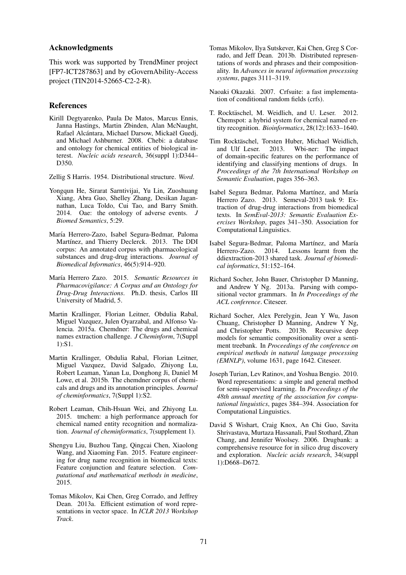#### Acknowledgments

This work was supported by TrendMiner project [FP7-ICT287863] and by eGovernAbility-Access project (TIN2014-52665-C2-2-R).

#### **References**

Kirill Degtyarenko, Paula De Matos, Marcus Ennis, Janna Hastings, Martin Zbinden, Alan McNaught, Rafael Alcántara, Michael Darsow, Mickaël Guedj, and Michael Ashburner. 2008. Chebi: a database and ontology for chemical entities of biological interest. *Nucleic acids research*, 36(suppl 1):D344– D350.

Zellig S Harris. 1954. Distributional structure. *Word*.

- Yongqun He, Sirarat Sarntivijai, Yu Lin, Zuoshuang Xiang, Abra Guo, Shelley Zhang, Desikan Jagannathan, Luca Toldo, Cui Tao, and Barry Smith. 2014. Oae: the ontology of adverse events. *Biomed Semantics*, 5:29.
- María Herrero-Zazo, Isabel Segura-Bedmar, Paloma Martínez, and Thierry Declerck. 2013. The DDI corpus: An annotated corpus with pharmacological substances and drug-drug interactions. *Journal of Biomedical Informatics*, 46(5):914–920.
- Mar´ıa Herrero Zazo. 2015. *Semantic Resources in Pharmacovigilance: A Corpus and an Ontology for Drug-Drug Interactions*. Ph.D. thesis, Carlos III University of Madrid, 5.
- Martin Krallinger, Florian Leitner, Obdulia Rabal, Miguel Vazquez, Julen Oyarzabal, and Alfonso Valencia. 2015a. Chemdner: The drugs and chemical names extraction challenge. *J Cheminform*, 7(Suppl 1):S1.
- Martin Krallinger, Obdulia Rabal, Florian Leitner, Miguel Vazquez, David Salgado, Zhiyong Lu, Robert Leaman, Yanan Lu, Donghong Ji, Daniel M Lowe, et al. 2015b. The chemdner corpus of chemicals and drugs and its annotation principles. *Journal of cheminformatics*, 7(Suppl 1):S2.
- Robert Leaman, Chih-Hsuan Wei, and Zhiyong Lu. 2015. tmchem: a high performance approach for chemical named entity recognition and normalization. *Journal of cheminformatics*, 7(supplement 1).
- Shengyu Liu, Buzhou Tang, Qingcai Chen, Xiaolong Wang, and Xiaoming Fan. 2015. Feature engineering for drug name recognition in biomedical texts: Feature conjunction and feature selection. *Computational and mathematical methods in medicine*, 2015.
- Tomas Mikolov, Kai Chen, Greg Corrado, and Jeffrey Dean. 2013a. Efficient estimation of word representations in vector space. In *ICLR 2013 Workshop Track*.
- Tomas Mikolov, Ilya Sutskever, Kai Chen, Greg S Corrado, and Jeff Dean. 2013b. Distributed representations of words and phrases and their compositionality. In *Advances in neural information processing systems*, pages 3111–3119.
- Naoaki Okazaki. 2007. Crfsuite: a fast implementation of conditional random fields (crfs).
- T. Rocktäschel, M. Weidlich, and U. Leser. 2012. Chemspot: a hybrid system for chemical named entity recognition. *Bioinformatics*, 28(12):1633–1640.
- Tim Rocktäschel, Torsten Huber, Michael Weidlich, and Ulf Leser. 2013. Wbi-ner: The impact of domain-specific features on the performance of identifying and classifying mentions of drugs. In *Proceedings of the 7th International Workshop on Semantic Evaluation*, pages 356–363.
- Isabel Segura Bedmar, Paloma Martínez, and María Herrero Zazo. 2013. Semeval-2013 task 9: Extraction of drug-drug interactions from biomedical texts. In *SemEval-2013: Semantic Evaluation Exercises Workshop*, pages 341–350. Association for Computational Linguistics.
- Isabel Segura-Bedmar, Paloma Martínez, and María Herrero-Zazo. 2014. Lessons learnt from the ddiextraction-2013 shared task. *Journal of biomedical informatics*, 51:152–164.
- Richard Socher, John Bauer, Christopher D Manning, and Andrew Y Ng. 2013a. Parsing with compositional vector grammars. In *In Proceedings of the ACL conference*. Citeseer.
- Richard Socher, Alex Perelygin, Jean Y Wu, Jason Chuang, Christopher D Manning, Andrew Y Ng, and Christopher Potts. 2013b. Recursive deep models for semantic compositionality over a sentiment treebank. In *Proceedings of the conference on empirical methods in natural language processing (EMNLP)*, volume 1631, page 1642. Citeseer.
- Joseph Turian, Lev Ratinov, and Yoshua Bengio. 2010. Word representations: a simple and general method for semi-supervised learning. In *Proceedings of the 48th annual meeting of the association for computational linguistics*, pages 384–394. Association for Computational Linguistics.
- David S Wishart, Craig Knox, An Chi Guo, Savita Shrivastava, Murtaza Hassanali, Paul Stothard, Zhan Chang, and Jennifer Woolsey. 2006. Drugbank: a comprehensive resource for in silico drug discovery and exploration. *Nucleic acids research*, 34(suppl 1):D668–D672.